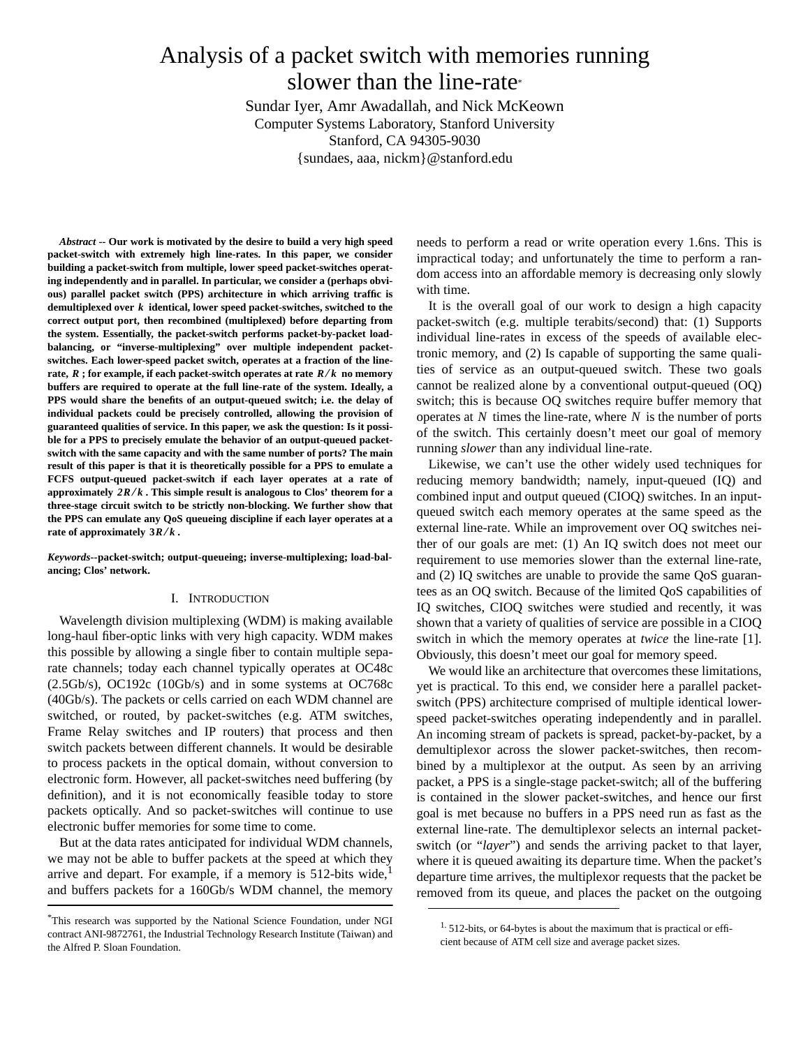# Analysis of a packet switch with memories running slower than the line-rate\*

Sundar Iyer, Amr Awadallah, and Nick McKeown Computer Systems Laboratory, Stanford University Stanford, CA 94305-9030 {sundaes, aaa, nickm}@stanford.edu

*Abstract --* **Our work is motivated by the desire to build a very high speed packet-switch with extremely high line-rates. In this paper, we consider building a packet-switch from multiple, lower speed packet-switches operating independently and in parallel. In particular, we consider a (perhaps obvious) parallel packet switch (PPS) architecture in which arriving traffic is** demultiplexed over k identical, lower speed packet-switches, switched to the **correct output port, then recombined (multiplexed) before departing from the system. Essentially, the packet-switch performs packet-by-packet loadbalancing, or "inverse-multiplexing" over multiple independent packetswitches. Each lower-speed packet switch, operates at a fraction of the line-** ${\bf r}$ ate,  ${\bm R}$  ; for example, if each packet-switch operates at rate  ${\bm R}/k\;$  no memory **buffers are required to operate at the full line-rate of the system. Ideally, a PPS would share the benefits of an output-queued switch; i.e. the delay of individual packets could be precisely controlled, allowing the provision of guaranteed qualities of service. In this paper, we ask the question: Is it possible for a PPS to precisely emulate the behavior of an output-queued packetswitch with the same capacity and with the same number of ports? The main result of this paper is that it is theoretically possible for a PPS to emulate a FCFS output-queued packet-switch if each layer operates at a rate of** approximately  $2R/k$  . This simple result is analogous to Clos' theorem for a **three-stage circuit switch to be strictly non-blocking. We further show that the PPS can emulate any QoS queueing discipline if each layer operates at a** rate of approximately  $3R/k$ .

*Keywords--***packet-switch; output-queueing; inverse-multiplexing; load-balancing; Clos' network.**

### I. INTRODUCTION

Wavelength division multiplexing (WDM) is making available long-haul fiber-optic links with very high capacity. WDM makes this possible by allowing a single fiber to contain multiple separate channels; today each channel typically operates at OC48c (2.5Gb/s), OC192c (10Gb/s) and in some systems at OC768c (40Gb/s). The packets or cells carried on each WDM channel are switched, or routed, by packet-switches (e.g. ATM switches, Frame Relay switches and IP routers) that process and then switch packets between different channels. It would be desirable to process packets in the optical domain, without conversion to electronic form. However, all packet-switches need buffering (by definition), and it is not economically feasible today to store packets optically. And so packet-switches will continue to use electronic buffer memories for some time to come.

But at the data rates anticipated for individual WDM channels, we may not be able to buffer packets at the speed at which they arrive and depart. For example, if a memory is  $512$ -bits wide,<sup>1</sup> and buffers packets for a 160Gb/s WDM channel, the memory needs to perform a read or write operation every 1.6ns. This is impractical today; and unfortunately the time to perform a random access into an affordable memory is decreasing only slowly with time.

It is the overall goal of our work to design a high capacity packet-switch (e.g. multiple terabits/second) that: (1) Supports individual line-rates in excess of the speeds of available electronic memory, and (2) Is capable of supporting the same qualities of service as an output-queued switch. These two goals cannot be realized alone by a conventional output-queued (OQ) switch; this is because OQ switches require buffer memory that operates at N times the line-rate, where  $N$  is the number of ports of the switch. This certainly doesn't meet our goal of memory running *slower* than any individual line-rate.

Likewise, we can't use the other widely used techniques for reducing memory bandwidth; namely, input-queued (IQ) and combined input and output queued (CIOQ) switches. In an inputqueued switch each memory operates at the same speed as the external line-rate. While an improvement over OQ switches neither of our goals are met: (1) An IQ switch does not meet our requirement to use memories slower than the external line-rate, and (2) IQ switches are unable to provide the same QoS guarantees as an OQ switch. Because of the limited QoS capabilities of IQ switches, CIOQ switches were studied and recently, it was shown that a variety of qualities of service are possible in a CIOQ switch in which the memory operates at *twice* the line-rate [1]. Obviously, this doesn't meet our goal for memory speed.

We would like an architecture that overcomes these limitations, yet is practical. To this end, we consider here a parallel packetswitch (PPS) architecture comprised of multiple identical lowerspeed packet-switches operating independently and in parallel. An incoming stream of packets is spread, packet-by-packet, by a demultiplexor across the slower packet-switches, then recombined by a multiplexor at the output. As seen by an arriving packet, a PPS is a single-stage packet-switch; all of the buffering is contained in the slower packet-switches, and hence our first goal is met because no buffers in a PPS need run as fast as the external line-rate. The demultiplexor selects an internal packetswitch (or "*layer*") and sends the arriving packet to that layer, where it is queued awaiting its departure time. When the packet's departure time arrives, the multiplexor requests that the packet be removed from its queue, and places the packet on the outgoing

<sup>\*</sup> This research was supported by the National Science Foundation, under NGI contract ANI-9872761, the Industrial Technology Research Institute (Taiwan) and the Alfred P. Sloan Foundation.

 $1.512$ -bits, or 64-bytes is about the maximum that is practical or efficient because of ATM cell size and average packet sizes.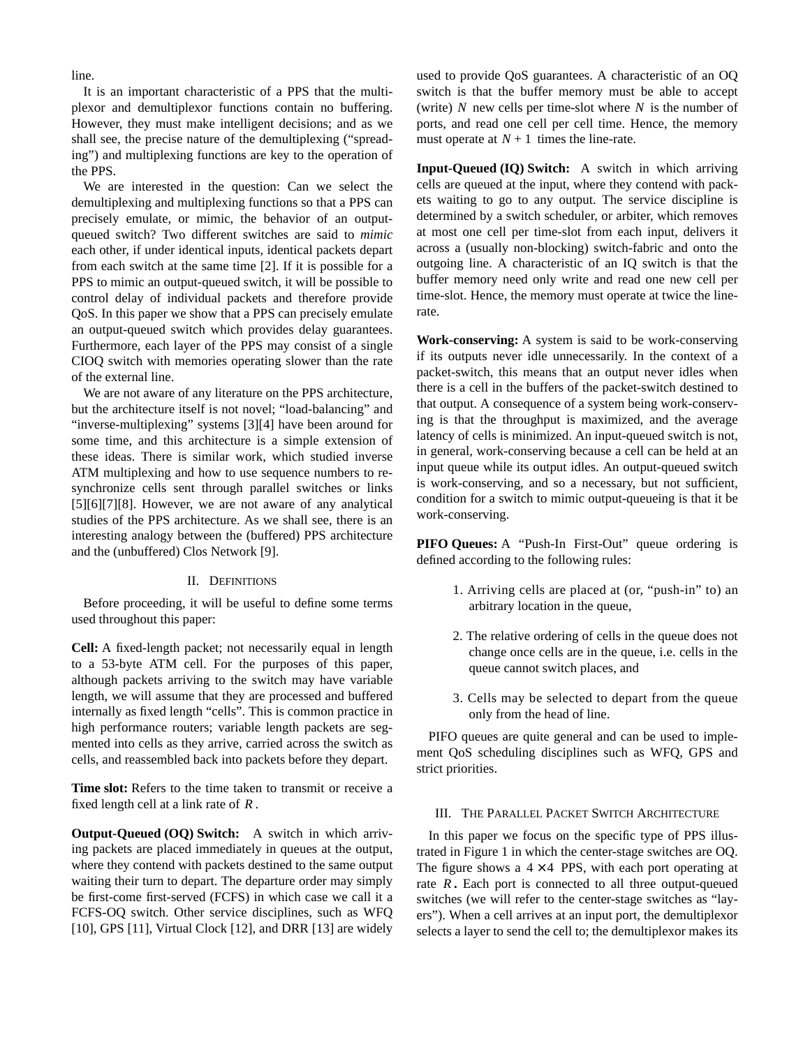line.

It is an important characteristic of a PPS that the multiplexor and demultiplexor functions contain no buffering. However, they must make intelligent decisions; and as we shall see, the precise nature of the demultiplexing ("spreading") and multiplexing functions are key to the operation of the PPS.

We are interested in the question: Can we select the demultiplexing and multiplexing functions so that a PPS can precisely emulate, or mimic, the behavior of an outputqueued switch? Two different switches are said to *mimic* each other, if under identical inputs, identical packets depart from each switch at the same time [2]. If it is possible for a PPS to mimic an output-queued switch, it will be possible to control delay of individual packets and therefore provide QoS. In this paper we show that a PPS can precisely emulate an output-queued switch which provides delay guarantees. Furthermore, each layer of the PPS may consist of a single CIOQ switch with memories operating slower than the rate of the external line.

We are not aware of any literature on the PPS architecture, but the architecture itself is not novel; "load-balancing" and "inverse-multiplexing" systems [3][4] have been around for some time, and this architecture is a simple extension of these ideas. There is similar work, which studied inverse ATM multiplexing and how to use sequence numbers to resynchronize cells sent through parallel switches or links [5][6][7][8]. However, we are not aware of any analytical studies of the PPS architecture. As we shall see, there is an interesting analogy between the (buffered) PPS architecture and the (unbuffered) Clos Network [9].

## II. DEFINITIONS

Before proceeding, it will be useful to define some terms used throughout this paper:

**Cell:** A fixed-length packet; not necessarily equal in length to a 53-byte ATM cell. For the purposes of this paper, although packets arriving to the switch may have variable length, we will assume that they are processed and buffered internally as fixed length "cells". This is common practice in high performance routers; variable length packets are segmented into cells as they arrive, carried across the switch as cells, and reassembled back into packets before they depart.

**Time slot:** Refers to the time taken to transmit or receive a fixed length cell at a link rate of *.* 

**Output-Queued (OQ) Switch:** A switch in which arriving packets are placed immediately in queues at the output, where they contend with packets destined to the same output waiting their turn to depart. The departure order may simply be first-come first-served (FCFS) in which case we call it a FCFS-OQ switch. Other service disciplines, such as WFQ [10], GPS [11], Virtual Clock [12], and DRR [13] are widely used to provide QoS guarantees. A characteristic of an OQ switch is that the buffer memory must be able to accept (write)  $N$  new cells per time-slot where  $N$  is the number of ports, and read one cell per cell time. Hence, the memory must operate at  $N + 1$  times the line-rate.

**Input-Queued (IQ) Switch:** A switch in which arriving cells are queued at the input, where they contend with packets waiting to go to any output. The service discipline is determined by a switch scheduler, or arbiter, which removes at most one cell per time-slot from each input, delivers it across a (usually non-blocking) switch-fabric and onto the outgoing line. A characteristic of an IQ switch is that the buffer memory need only write and read one new cell per time-slot. Hence, the memory must operate at twice the linerate.

**Work-conserving:** A system is said to be work-conserving if its outputs never idle unnecessarily. In the context of a packet-switch, this means that an output never idles when there is a cell in the buffers of the packet-switch destined to that output. A consequence of a system being work-conserving is that the throughput is maximized, and the average latency of cells is minimized. An input-queued switch is not, in general, work-conserving because a cell can be held at an input queue while its output idles. An output-queued switch is work-conserving, and so a necessary, but not sufficient, condition for a switch to mimic output-queueing is that it be work-conserving.

**PIFO Queues:** A "Push-In First-Out" queue ordering is defined according to the following rules:

- 1. Arriving cells are placed at (or, "push-in" to) an arbitrary location in the queue,
- 2. The relative ordering of cells in the queue does not change once cells are in the queue, i.e. cells in the queue cannot switch places, and
- 3. Cells may be selected to depart from the queue only from the head of line.

PIFO queues are quite general and can be used to implement QoS scheduling disciplines such as WFQ, GPS and strict priorities.

## III. THE PARALLEL PACKET SWITCH ARCHITECTURE

In this paper we focus on the specific type of PPS illustrated in Figure 1 in which the center-stage switches are OQ. The figure shows a  $4 \times 4$  PPS, with each port operating at rate  $R$ . Each port is connected to all three output-queued switches (we will refer to the center-stage switches as "layers"). When a cell arrives at an input port, the demultiplexor selects a layer to send the cell to; the demultiplexor makes its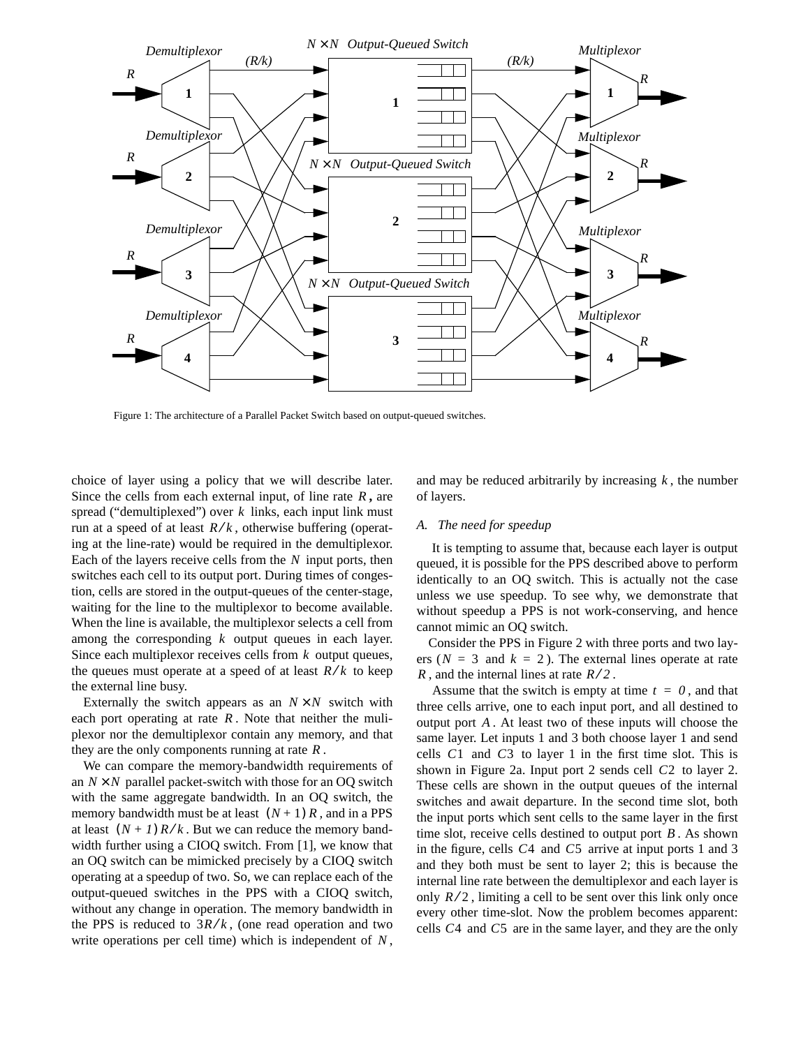

Figure 1: The architecture of a Parallel Packet Switch based on output-queued switches.

choice of layer using a policy that we will describe later. Since the cells from each external input, of line rate  $R$ , are spread ("demultiplexed") over  $k$  links, each input link must run at a speed of at least  $R/k$ , otherwise buffering (operating at the line-rate) would be required in the demultiplexor. Each of the layers receive cells from the  $N$  input ports, then switches each cell to its output port. During times of congestion, cells are stored in the output-queues of the center-stage, waiting for the line to the multiplexor to become available. When the line is available, the multiplexor selects a cell from among the corresponding  $k$  output queues in each layer. Since each multiplexor receives cells from  $k$  output queues, the queues must operate at a speed of at least  $R/k$  to keep the external line busy.

Externally the switch appears as an  $N \times N$  switch with each port operating at rate  $R$ . Note that neither the muliplexor nor the demultiplexor contain any memory, and that they are the only components running at rate  $R$ .

We can compare the memory-bandwidth requirements of an  $N \times N$  parallel packet-switch with those for an OQ switch with the same aggregate bandwidth. In an OQ switch, the memory bandwidth must be at least  $(N + 1)R$ , and in a PPS at least  $(N + 1) R/k$ . But we can reduce the memory bandwidth further using a CIOQ switch. From [1], we know that an OQ switch can be mimicked precisely by a CIOQ switch operating at a speedup of two. So, we can replace each of the output-queued switches in the PPS with a CIOQ switch, without any change in operation. The memory bandwidth in the PPS is reduced to  $3R/k$ , (one read operation and two write operations per cell time) which is independent of  $N$ ,

and may be reduced arbitrarily by increasing  $k$ , the number of layers.

#### *A. The need for speedup*

 It is tempting to assume that, because each layer is output queued, it is possible for the PPS described above to perform identically to an OQ switch. This is actually not the case unless we use speedup. To see why, we demonstrate that without speedup a PPS is not work-conserving, and hence cannot mimic an OQ switch.

Consider the PPS in Figure 2 with three ports and two layers ( $N = 3$  and  $k = 2$ ). The external lines operate at rate  $R$ , and the internal lines at rate  $R/2$ .

Assume that the switch is empty at time  $t = 0$ , and that three cells arrive, one to each input port, and all destined to output port A. At least two of these inputs will choose the same layer. Let inputs 1 and 3 both choose layer 1 and send cells C1 and C3 to layer 1 in the first time slot. This is shown in Figure 2a. Input port 2 sends cell  $C2$  to layer 2. These cells are shown in the output queues of the internal switches and await departure. In the second time slot, both the input ports which sent cells to the same layer in the first time slot, receive cells destined to output port  $B$ . As shown in the figure, cells C4 and C5 arrive at input ports 1 and 3 and they both must be sent to layer 2; this is because the internal line rate between the demultiplexor and each layer is only  $R/2$ , limiting a cell to be sent over this link only once every other time-slot. Now the problem becomes apparent: cells C4 and C5 are in the same layer, and they are the only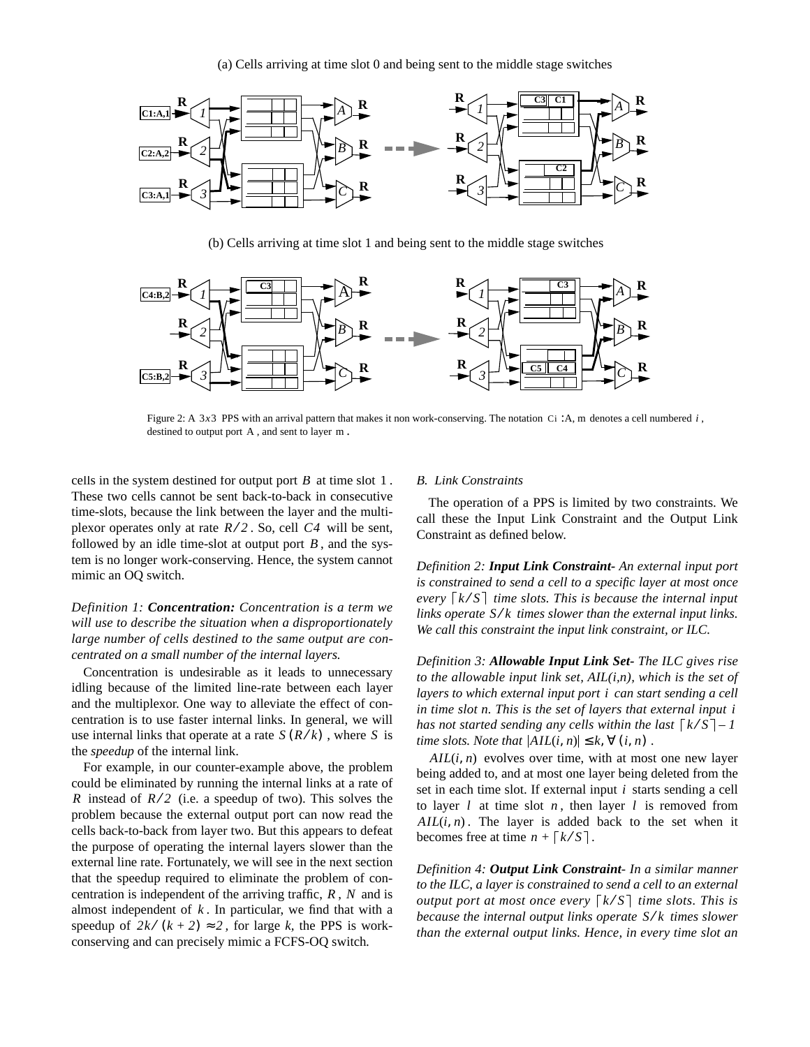

(b) Cells arriving at time slot 1 and being sent to the middle stage switches



Figure 2: A 3x3 PPS with an arrival pattern that makes it non work-conserving. The notation Ci:A, m denotes a cell numbered  $i$ , destined to output port A, and sent to layer m.

cells in the system destined for output port  $B$  at time slot  $1$ . These two cells cannot be sent back-to-back in consecutive time-slots, because the link between the layer and the multiplexor operates only at rate  $R/2$ . So, cell  $C4$  will be sent, followed by an idle time-slot at output port  $B$ , and the system is no longer work-conserving. Hence, the system cannot mimic an OQ switch.

*Definition 1: Concentration: Concentration is a term we will use to describe the situation when a disproportionately large number of cells destined to the same output are concentrated on a small number of the internal layers.*

Concentration is undesirable as it leads to unnecessary idling because of the limited line-rate between each layer and the multiplexor. One way to alleviate the effect of concentration is to use faster internal links. In general, we will use internal links that operate at a rate  $S(R/k)$ , where S is the *speedup* of the internal link.

For example, in our counter-example above, the problem could be eliminated by running the internal links at a rate of R instead of  $R/2$  (i.e. a speedup of two). This solves the problem because the external output port can now read the cells back-to-back from layer two. But this appears to defeat the purpose of operating the internal layers slower than the external line rate. Fortunately, we will see in the next section that the speedup required to eliminate the problem of concentration is independent of the arriving traffic,  $R$ ,  $N$  and is almost independent of  $k$ . In particular, we find that with a speedup of  $2k/(k+2) \approx 2$ , for large *k*, the PPS is workconserving and can precisely mimic a FCFS-OQ switch*.*

#### *B. Link Constraints*

The operation of a PPS is limited by two constraints. We call these the Input Link Constraint and the Output Link Constraint as defined below.

*Definition 2: Input Link Constraint- An external input port is constrained to send a cell to a specific layer at most once every*  $\lceil k / S \rceil$  time slots. This is because the internal input *links operate S/k times slower than the external input links. We call this constraint the input link constraint, or ILC.*

*Definition 3: Allowable Input Link Set- The ILC gives rise to the allowable input link set, AIL(i,n), which is the set of* layers to which external input port *i* can start sending a cell *in time slot n. This is the set of layers that external input i has not started sending any cells within the last*  $\lceil k / S \rceil - 1$ *time slots. Note that*  $|AIL(i, n)| \leq k$ ,  $\forall$  (*i*, *n*).

 $AIL(i, n)$  evolves over time, with at most one new layer being added to, and at most one layer being deleted from the set in each time slot. If external input *i* starts sending a cell to layer  $l$  at time slot  $n$ , then layer  $l$  is removed from  $AIL(i, n)$ . The layer is added back to the set when it becomes free at time  $n + \lceil k / S \rceil$ .

*Definition 4: Output Link Constraint- In a similar manner to the ILC, a layer is constrained to send a cell to an external output port at most once every*  $\lceil k/S \rceil$  *time slots. This is because the internal output links operate S/k times slower than the external output links. Hence, in every time slot an*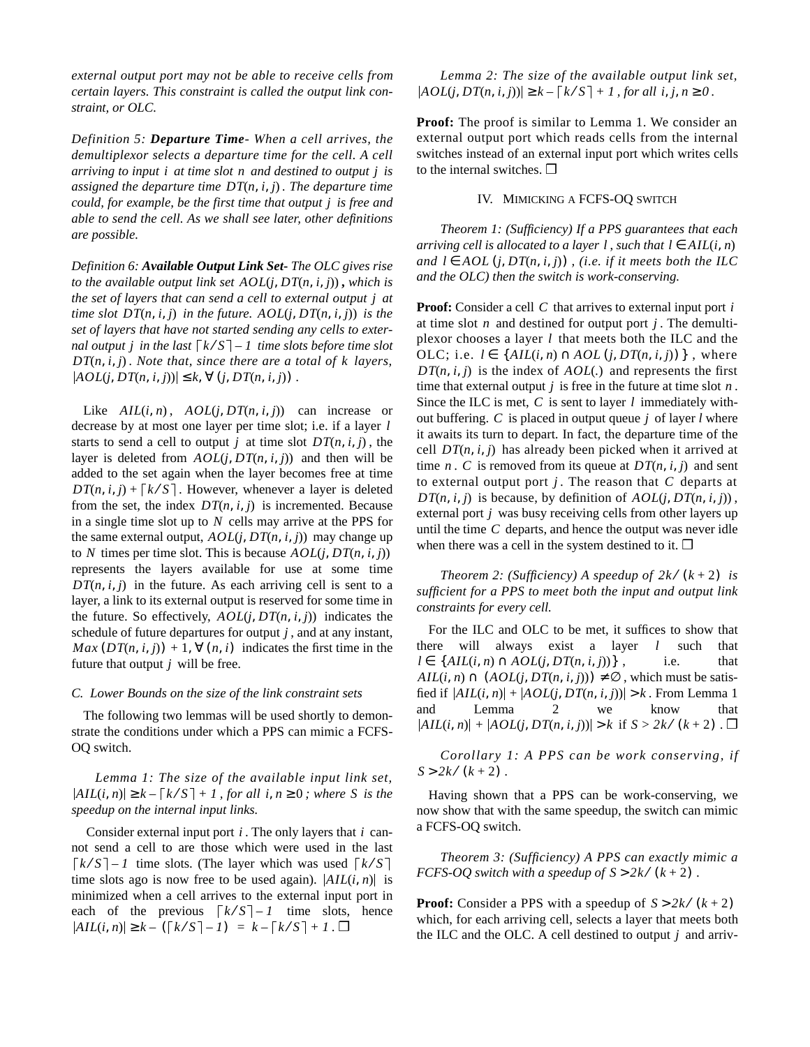*external output port may not be able to receive cells from certain layers. This constraint is called the output link constraint, or OLC.*

*Definition 5: Departure Time- When a cell arrives, the demultiplexor selects a departure time for the cell. A cell arriving to input i at time slot n and destined to output j is* assigned the departure time  $DT(n, i, j)$ . The departure time could, for example, be the first time that output j is free and *able to send the cell. As we shall see later, other definitions are possible.*

*Definition 6: Available Output Link Set***-** *The OLC gives rise to the available output link set*  $AOL(j, DT(n, i, j))$ , which is *the set of layers that can send a cell to external output j at time slot*  $DT(n, i, j)$  *in the future.*  $AOL(j, DT(n, i, j))$  *is the set of layers that have not started sending any cells to external output j in the last*  $\lceil k/S \rceil - 1$  *time slots before time slot*  $DT(n, i, j)$ . Note that, since there are a total of k layers,  $\left[ AOL(j, DT(n, i, j)) \right] \leq k, \forall (j, DT(n, i, j))$ .

Like  $AIL(i, n)$ ,  $AOL(j, DT(n, i, j))$  can increase or decrease by at most one layer per time slot; i.e. if a layer *l* starts to send a cell to output j at time slot  $DT(n, i, j)$ , the layer is deleted from  $AOL(j, DT(n, i, j))$  and then will be added to the set again when the layer becomes free at time  $DT(n, i, j) + \lceil k / S \rceil$ . However, whenever a layer is deleted from the set, the index  $DT(n, i, j)$  is incremented. Because in a single time slot up to  $N$  cells may arrive at the PPS for the same external output,  $AOL(j, DT(n, i, j))$  may change up to N times per time slot. This is because  $AOL(j, DT(n, i, j))$ represents the layers available for use at some time  $DT(n, i, j)$  in the future. As each arriving cell is sent to a layer, a link to its external output is reserved for some time in the future. So effectively,  $AOL(j, DT(n, i, j))$  indicates the schedule of future departures for output  $j$ , and at any instant,  $Max(DT(n, i, j)) + 1, \forall (n, i)$  indicates the first time in the future that output  $j$  will be free.

#### *C. Lower Bounds on the size of the link constraint sets*

The following two lemmas will be used shortly to demonstrate the conditions under which a PPS can mimic a FCFS-OQ switch.

*Lemma 1: The size of the available input link set,*  $AIL(i, n) \geq k - \lceil k/S \rceil + 1$ , for all  $i, n \geq 0$ ; where S is the *speedup on the internal input links.*

Consider external input port *i*. The only layers that *i* cannot send a cell to are those which were used in the last  $k/S$  – *1* time slots. (The layer which was used  $\lceil k/S \rceil$ time slots ago is now free to be used again).  $|AIL(i, n)|$  is minimized when a cell arrives to the external input port in each of the previous  $\lceil k / S \rceil - 1$  time slots, hence  $AIL(i, n) \geq k - (\lceil k/S \rceil - 1) = k - \lceil k/S \rceil + 1$ .

*Lemma 2: The size of the available output link set,*  $|AOL(j, DT(n, i, j))| \geq k - \lceil k/S \rceil + 1$ , for all  $i, j, n \geq 0$ .

**Proof:** The proof is similar to Lemma 1. We consider an external output port which reads cells from the internal switches instead of an external input port which writes cells to the internal switches.  $\Box$ 

# IV. MIMICKING A FCFS-OQ SWITCH

*Theorem 1: (Sufficiency) If a PPS guarantees that each*  $\alpha$ *arriving cell is allocated to a layer l, such that*  $l \in AIL(i, n)$ *and l* ∈  $AOL(j, DT(n, i, j))$  , (*i.e. if it meets both the ILC and the OLC) then the switch is work-conserving.*

**Proof:** Consider a cell C that arrives to external input port *i* at time slot  $n$  and destined for output port  $j$ . The demultiplexor chooses a layer *l* that meets both the ILC and the OLC; i.e.  $l \in \{AIL(i, n) \cap AOL(j, DT(n, i, j))\}$ , where  $DT(n, i, j)$  is the index of  $AOL(.)$  and represents the first time that external output  $j$  is free in the future at time slot  $n$ . Since the ILC is met,  $C$  is sent to layer  $l$  immediately without buffering. C is placed in output queue  $j$  of layer  $l$  where it awaits its turn to depart*.* In fact, the departure time of the cell  $DT(n, i, j)$  has already been picked when it arrived at time *n*. *C* is removed from its queue at  $DT(n, i, j)$  and sent to external output port  $j$ . The reason that  $C$  departs at  $DT(n, i, j)$  is because, by definition of  $AOL(j, DT(n, i, j))$ , external port *j* was busy receiving cells from other layers up until the time  $C$  departs, and hence the output was never idle when there was a cell in the system destined to it.  $\Box$ 

*Theorem 2: (Sufficiency) A speedup of*  $2k/(k+2)$  *is sufficient for a PPS to meet both the input and output link constraints for every cell.*

For the ILC and OLC to be met, it suffices to show that there will always exist a layer  $l$  such that i.e. that  $AIL(i, n) \cap (AOL(j, DT(n, i, j))) \neq \emptyset$ , which must be satisfied if  $|AIL(i, n)| + |AOL(j, DT(n, i, j))| > k$ . From Lemma 1 and Lemma 2 we know that  $|AIL(i, n)| + |AOL(j, DT(n, i, j))| > k \text{ if } S > 2k/(k+2) \text{ . } \Box$ *l*  $l \in \{AIL(i, n) \cap AOL(j, DT(n, i, j))\},$ 

*Corollary 1: A PPS can be work conserving, if*  $S > 2k / (k + 2)$ .

Having shown that a PPS can be work-conserving, we now show that with the same speedup, the switch can mimic a FCFS-OQ switch.

*Theorem 3: (Sufficiency) A PPS can exactly mimic a FCFS-OQ switch with a speedup of*  $S > 2k / (k + 2)$ *.* 

**Proof:** Consider a PPS with a speedup of  $S > 2k / (k + 2)$ which, for each arriving cell, selects a layer that meets both the ILC and the OLC. A cell destined to output  $j$  and arriv-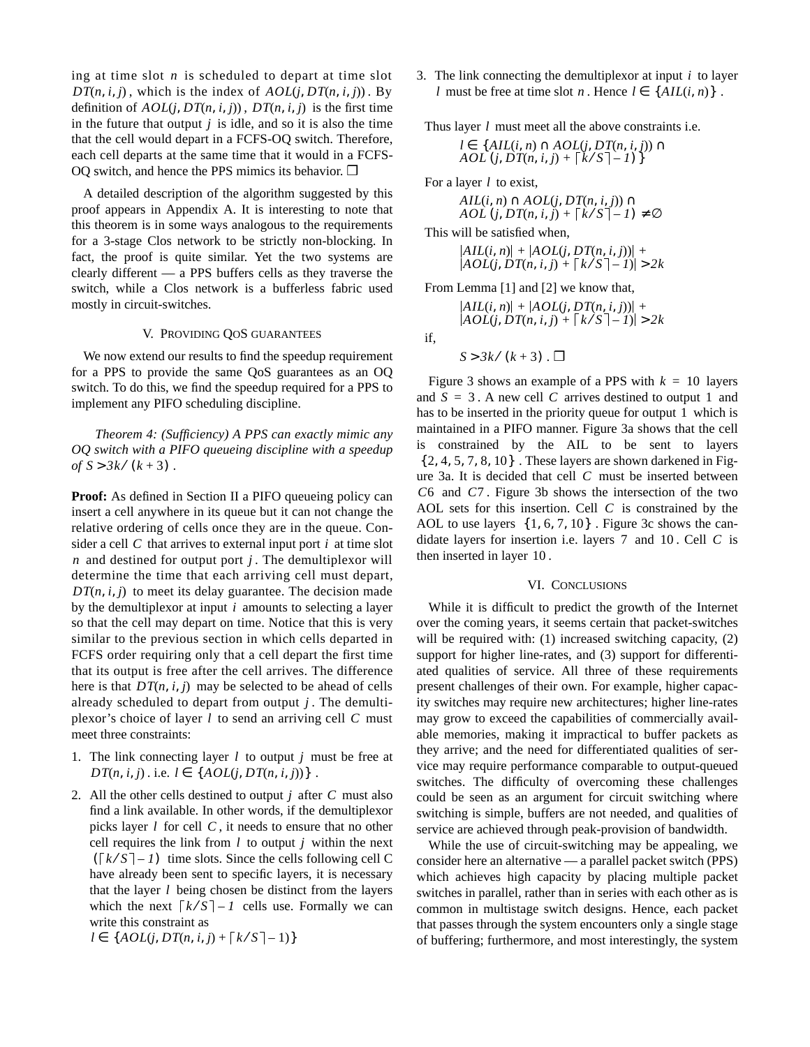ing at time slot *n* is scheduled to depart at time slot  $DT(n, i, j)$ , which is the index of  $AOL(j, DT(n, i, j))$ . By definition of  $AOL(j, DT(n, i, j))$ ,  $DT(n, i, j)$  is the first time in the future that output  $j$  is idle, and so it is also the time that the cell would depart in a FCFS-OQ switch. Therefore, each cell departs at the same time that it would in a FCFS-OQ switch, and hence the PPS mimics its behavior.  $\Box$ 

A detailed description of the algorithm suggested by this proof appears in Appendix A. It is interesting to note that this theorem is in some ways analogous to the requirements for a 3-stage Clos network to be strictly non-blocking. In fact, the proof is quite similar. Yet the two systems are clearly different — a PPS buffers cells as they traverse the switch, while a Clos network is a bufferless fabric used mostly in circuit-switches.

## V. PROVIDING QOS GUARANTEES

We now extend our results to find the speedup requirement for a PPS to provide the same QoS guarantees as an OQ switch. To do this, we find the speedup required for a PPS to implement any PIFO scheduling discipline.

*Theorem 4: (Sufficiency) A PPS can exactly mimic any OQ switch with a PIFO queueing discipline with a speedup*  $of S > 3k / (k + 3)$ .

**Proof:** As defined in Section II a PIFO queueing policy can insert a cell anywhere in its queue but it can not change the relative ordering of cells once they are in the queue. Consider a cell  $C$  that arrives to external input port  $i$  at time slot  $n$  and destined for output port  $j$ . The demultiplexor will determine the time that each arriving cell must depart,  $DT(n, i, j)$  to meet its delay guarantee. The decision made by the demultiplexor at input  $i$  amounts to selecting a layer so that the cell may depart on time. Notice that this is very similar to the previous section in which cells departed in FCFS order requiring only that a cell depart the first time that its output is free after the cell arrives. The difference here is that  $DT(n, i, j)$  may be selected to be ahead of cells already scheduled to depart from output  $j$ . The demultiplexor's choice of layer  $l$  to send an arriving cell  $C$  must meet three constraints:

- 1. The link connecting layer  $l$  to output  $j$  must be free at  $DT(n, i, j)$ . i.e.  $l \in \{AOL(j, DT(n, i, j))\}$ .
- 2. All the other cells destined to output  $j$  after  $C$  must also find a link available. In other words, if the demultiplexor picks layer  $l$  for cell  $C$ , it needs to ensure that no other cell requires the link from  $l$  to output  $j$  within the next  $(\lceil k / S \rceil - 1)$  time slots. Since the cells following cell C have already been sent to specific layers, it is necessary that the layer  $l$  being chosen be distinct from the layers which the next  $\lceil k / S \rceil - 1$  cells use. Formally we can write this constraint as
	- *l* ∈ { $AOL(j, DT(n, i, j) + \lceil k/S \rceil 1$ }

3. The link connecting the demultiplex or at input  $i$  to layer *l* must be free at time slot *n*. Hence  $l \in \{AIL(i, n)\}\$ .

Thus layer  $l$  must meet all the above constraints i.e.

$$
l \in \{AIL(i, n) \cap AOL(j, DT(n, i, j)) \cap AOL(j, DT(n, i, j) + \lceil k/S \rceil - 1) \}
$$

For a layer *l* to exist,

 $AIL(i, n) \cap AOL(j, DT(n, i, j))$ *AOL*  $(j, DT(n, i, j) + \lceil k / S \rceil - 1)$  $\cap \text{AOL}(j, DT(n, i, j)) \cap$ ≠ ∅

This will be satisfied when,

 $AIL(i, n) + |AOL(j, DT(n, i, j))| +$ *AOL*(*j*, *DT*(*n*, *i*, *j*) +  $\lceil k / S \rceil - 1$ ) > 2*k* 

From Lemma [1] and [2] we know that,

 $AIL(i, n) + |AOL(j, DT(n, i, j))| +$ *AOL*(*j*, *DT*(*n*, *i*, *j*) +  $\lceil k / S \rceil - 1$ ) > 2*k* 

if,

$$
S > 3k/(k+3) . \Box
$$

Figure 3 shows an example of a PPS with  $k = 10$  layers and  $S = 3$ . A new cell C arrives destined to output 1 and has to be inserted in the priority queue for output 1 which is maintained in a PIFO manner. Figure 3a shows that the cell is constrained by the AIL to be sent to layers  $\{2, 4, 5, 7, 8, 10\}$ . These layers are shown darkened in Figure 3a. It is decided that cell C must be inserted between and . Figure 3b shows the intersection of the two *C*6 *C*7 AOL sets for this insertion. Cell  $C$  is constrained by the AOL to use layers  $\{1, 6, 7, 10\}$ . Figure 3c shows the candidate layers for insertion i.e. layers  $7$  and  $10$ . Cell  $C$  is then inserted in layer 10.

#### VI. CONCLUSIONS

While it is difficult to predict the growth of the Internet over the coming years, it seems certain that packet-switches will be required with: (1) increased switching capacity, (2) support for higher line-rates, and (3) support for differentiated qualities of service. All three of these requirements present challenges of their own. For example, higher capacity switches may require new architectures; higher line-rates may grow to exceed the capabilities of commercially available memories, making it impractical to buffer packets as they arrive; and the need for differentiated qualities of service may require performance comparable to output-queued switches. The difficulty of overcoming these challenges could be seen as an argument for circuit switching where switching is simple, buffers are not needed, and qualities of service are achieved through peak-provision of bandwidth.

While the use of circuit-switching may be appealing, we consider here an alternative — a parallel packet switch (PPS) which achieves high capacity by placing multiple packet switches in parallel, rather than in series with each other as is common in multistage switch designs. Hence, each packet that passes through the system encounters only a single stage of buffering; furthermore, and most interestingly, the system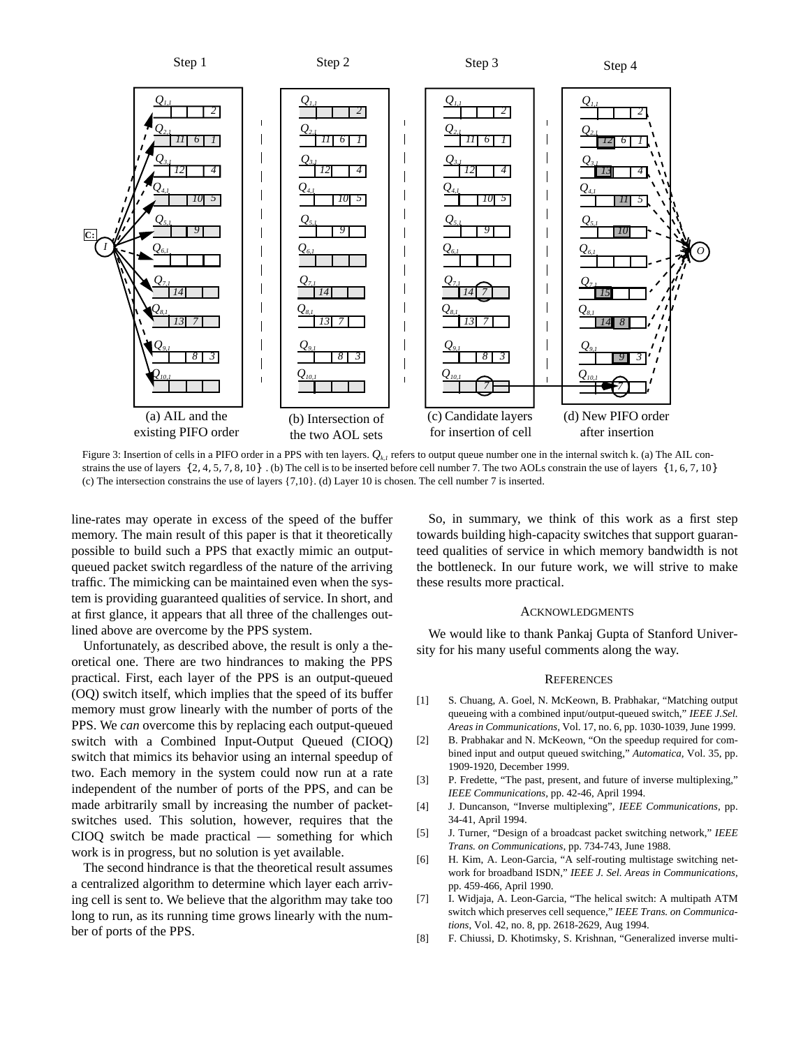

Figure 3: Insertion of cells in a PIFO order in a PPS with ten layers.  $Q_{k,l}$  refers to output queue number one in the internal switch k. (a) The AIL constrains the use of layers  $\{2, 4, 5, 7, 8, 10\}$ . (b) The cell is to be inserted before cell number 7. The two AOLs constrain the use of layers  $\{1, 6, 7, 10\}$ (c) The intersection constrains the use of layers {7,10}. (d) Layer 10 is chosen. The cell number 7 is inserted.

line-rates may operate in excess of the speed of the buffer memory. The main result of this paper is that it theoretically possible to build such a PPS that exactly mimic an outputqueued packet switch regardless of the nature of the arriving traffic. The mimicking can be maintained even when the system is providing guaranteed qualities of service. In short, and at first glance, it appears that all three of the challenges outlined above are overcome by the PPS system.

Unfortunately, as described above, the result is only a theoretical one. There are two hindrances to making the PPS practical. First, each layer of the PPS is an output-queued (OQ) switch itself, which implies that the speed of its buffer memory must grow linearly with the number of ports of the PPS. We *can* overcome this by replacing each output-queued switch with a Combined Input-Output Queued (CIOQ) switch that mimics its behavior using an internal speedup of two. Each memory in the system could now run at a rate independent of the number of ports of the PPS, and can be made arbitrarily small by increasing the number of packetswitches used. This solution, however, requires that the CIOQ switch be made practical — something for which work is in progress, but no solution is yet available.

The second hindrance is that the theoretical result assumes a centralized algorithm to determine which layer each arriving cell is sent to. We believe that the algorithm may take too long to run, as its running time grows linearly with the number of ports of the PPS.

So, in summary, we think of this work as a first step towards building high-capacity switches that support guaranteed qualities of service in which memory bandwidth is not the bottleneck. In our future work, we will strive to make these results more practical.

#### **ACKNOWLEDGMENTS**

We would like to thank Pankaj Gupta of Stanford University for his many useful comments along the way.

#### **REFERENCES**

- [1] S. Chuang, A. Goel, N. McKeown, B. Prabhakar, "Matching output queueing with a combined input/output-queued switch," *IEEE J.Sel. Areas in Communications,* Vol. 17, no. 6, pp. 1030-1039, June 1999.
- [2] B. Prabhakar and N. McKeown, "On the speedup required for combined input and output queued switching," *Automatica,* Vol. 35, pp. 1909-1920, December 1999.
- [3] P. Fredette, "The past, present, and future of inverse multiplexing," *IEEE Communications,* pp. 42-46, April 1994.
- [4] J. Duncanson, "Inverse multiplexing", *IEEE Communications,* pp. 34-41, April 1994.
- [5] J. Turner, "Design of a broadcast packet switching network," *IEEE Trans. on Communications,* pp. 734-743, June 1988.
- [6] H. Kim, A. Leon-Garcia, "A self-routing multistage switching network for broadband ISDN," *IEEE J. Sel. Areas in Communications*, pp. 459-466, April 1990.
- [7] I. Widjaja, A. Leon-Garcia, "The helical switch: A multipath ATM switch which preserves cell sequence," *IEEE Trans. on Communications*, Vol. 42, no. 8, pp. 2618-2629, Aug 1994.
- [8] F. Chiussi, D. Khotimsky, S. Krishnan, "Generalized inverse multi-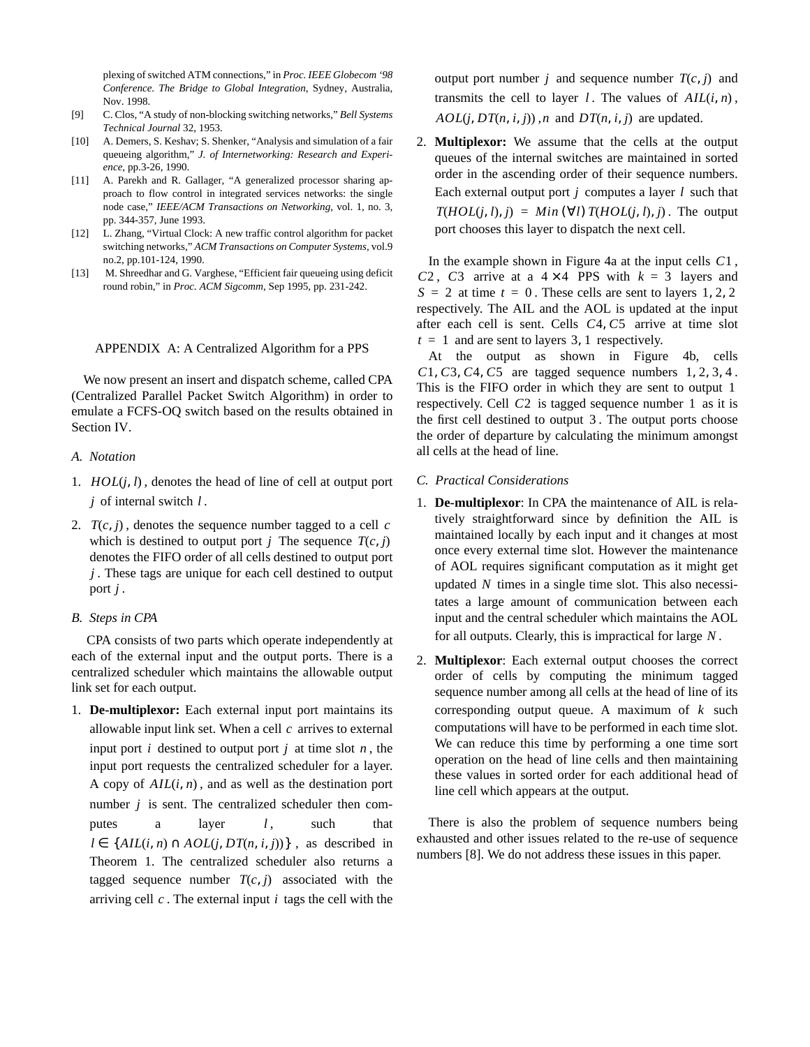plexing of switched ATM connections," in *Proc. IEEE Globecom '98 Conference. The Bridge to Global Integration*, Sydney, Australia, Nov. 1998.

- [9] C. Clos, "A study of non-blocking switching networks," *Bell Systems Technical Journal* 32, 1953.
- [10] A. Demers, S. Keshav; S. Shenker, "Analysis and simulation of a fair queueing algorithm," *J. of Internetworking: Research and Experience,* pp.3-26, 1990.
- [11] A. Parekh and R. Gallager, "A generalized processor sharing approach to flow control in integrated services networks: the single node case," *IEEE/ACM Transactions on Networking*, vol. 1, no. 3, pp. 344-357, June 1993.
- [12] L. Zhang, "Virtual Clock: A new traffic control algorithm for packet switching networks," *ACM Transactions on Computer Systems*, vol.9 no.2, pp.101-124, 1990.
- [13] M. Shreedhar and G. Varghese, "Efficient fair queueing using deficit round robin," in *Proc. ACM Sigcomm*, Sep 1995, pp. 231-242.

#### APPENDIX A: A Centralized Algorithm for a PPS

We now present an insert and dispatch scheme, called CPA (Centralized Parallel Packet Switch Algorithm) in order to emulate a FCFS-OQ switch based on the results obtained in Section IV.

# *A. Notation*

- 1.  $HOL(j, l)$ , denotes the head of line of cell at output port *j* of internal switch  $l$ .
- 2.  $T(c, j)$ , denotes the sequence number tagged to a cell  $c$ which is destined to output port  $j$  The sequence  $T(c, j)$ denotes the FIFO order of all cells destined to output port . These tags are unique for each cell destined to output *j* port *j*.

# *B. Steps in CPA*

 CPA consists of two parts which operate independently at each of the external input and the output ports. There is a centralized scheduler which maintains the allowable output link set for each output.

1. **De-multiplexor:** Each external input port maintains its allowable input link set. When a cell  $c$  arrives to external input port *i* destined to output port *j* at time slot *n*, the input port requests the centralized scheduler for a layer. A copy of  $AIL(i, n)$ , and as well as the destination port number  $j$  is sent. The centralized scheduler then computes a layer  $l$ , such that  $l \in \{AIL(i, n) \cap AOL(j, DT(n, i, j))\}$ , as described in Theorem 1. The centralized scheduler also returns a tagged sequence number  $T(c, j)$  associated with the arriving cell  $c$ . The external input  $i$  tags the cell with the *l*

output port number  $j$  and sequence number  $T(c, j)$  and transmits the cell to layer  $l$ . The values of  $AIL(i, n)$ ,  $AOL(j, DT(n, i, j))$ , *n* and  $DT(n, i, j)$  are updated.

2. **Multiplexor:** We assume that the cells at the output queues of the internal switches are maintained in sorted order in the ascending order of their sequence numbers. Each external output port  $j$  computes a layer  $l$  such that  $T(HOL(j, l), j) = Min (\forall l) T(HOL(j, l), j)$ . The output port chooses this layer to dispatch the next cell.

In the example shown in Figure 4a at the input cells  $C1$ ,  $C2$ ,  $C3$  arrive at a  $4 \times 4$  PPS with  $k = 3$  layers and  $S = 2$  at time  $t = 0$ . These cells are sent to layers 1, 2, 2 respectively. The AIL and the AOL is updated at the input after each cell is sent. Cells C4, C5 arrive at time slot  $t = 1$  and are sent to layers 3, 1 respectively.

At the output as shown in Figure 4b, cells *C*1, *C*3, *C*4, *C*5 are tagged sequence numbers 1, 2, 3, 4. This is the FIFO order in which they are sent to output 1 respectively. Cell C2 is tagged sequence number 1 as it is the first cell destined to output 3. The output ports choose the order of departure by calculating the minimum amongst all cells at the head of line.

#### *C. Practical Considerations*

- 1. **De-multiplexor**: In CPA the maintenance of AIL is relatively straightforward since by definition the AIL is maintained locally by each input and it changes at most once every external time slot. However the maintenance of AOL requires significant computation as it might get updated N times in a single time slot. This also necessitates a large amount of communication between each input and the central scheduler which maintains the AOL for all outputs. Clearly, this is impractical for large  $N$ .
- 2. **Multiplexor**: Each external output chooses the correct order of cells by computing the minimum tagged sequence number among all cells at the head of line of its corresponding output queue. A maximum of  $k$  such computations will have to be performed in each time slot. We can reduce this time by performing a one time sort operation on the head of line cells and then maintaining these values in sorted order for each additional head of line cell which appears at the output.

There is also the problem of sequence numbers being exhausted and other issues related to the re-use of sequence numbers [8]. We do not address these issues in this paper.